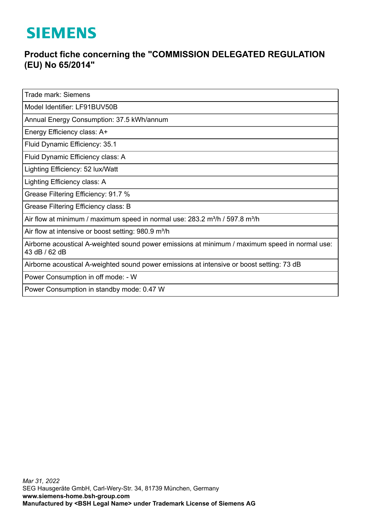## **SIEMENS**

## **Product fiche concerning the "COMMISSION DELEGATED REGULATION (EU) No 65/2014"**

Trade mark: Siemens

Model Identifier: LF91BUV50B

Annual Energy Consumption: 37.5 kWh/annum

Energy Efficiency class: A+

Fluid Dynamic Efficiency: 35.1

Fluid Dynamic Efficiency class: A

Lighting Efficiency: 52 lux/Watt

Lighting Efficiency class: A

Grease Filtering Efficiency: 91.7 %

Grease Filtering Efficiency class: B

Air flow at minimum / maximum speed in normal use:  $283.2$  m<sup>3</sup>/h / 597.8 m<sup>3</sup>/h

Air flow at intensive or boost setting: 980.9 m<sup>3</sup>/h

Airborne acoustical A-weighted sound power emissions at minimum / maximum speed in normal use: 43 dB / 62 dB

Airborne acoustical A-weighted sound power emissions at intensive or boost setting: 73 dB

Power Consumption in off mode: - W

Power Consumption in standby mode: 0.47 W